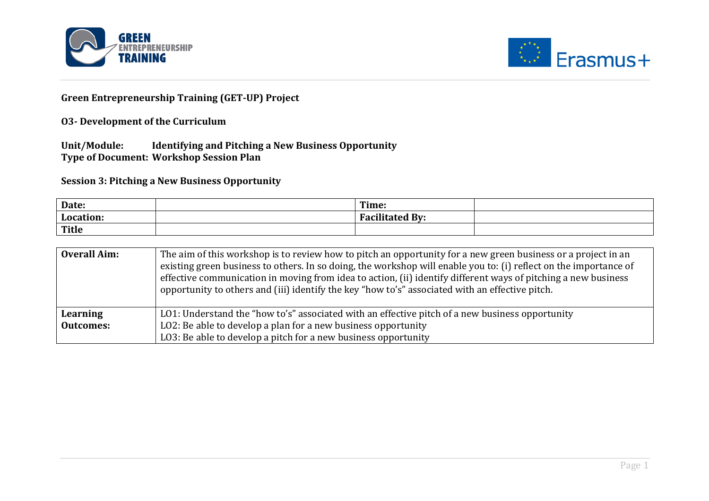



## **Green Entrepreneurship Training (GET-UP) Project**

## **O3-** Development of the Curriculum

Unit/Module: Identifying and Pitching a New Business Opportunity **Type of Document: Workshop Session Plan** 

**Session 3: Pitching a New Business Opportunity** 

| Date:        | Time:                          |  |
|--------------|--------------------------------|--|
| Location:    | $\mathbf{B}$ v:<br>.<br>נה היו |  |
| <b>Title</b> |                                |  |

| <b>Overall Aim:</b> | The aim of this workshop is to review how to pitch an opportunity for a new green business or a project in an<br>existing green business to others. In so doing, the workshop will enable you to: (i) reflect on the importance of<br>effective communication in moving from idea to action, (ii) identify different ways of pitching a new business<br>opportunity to others and (iii) identify the key "how to's" associated with an effective pitch. |
|---------------------|---------------------------------------------------------------------------------------------------------------------------------------------------------------------------------------------------------------------------------------------------------------------------------------------------------------------------------------------------------------------------------------------------------------------------------------------------------|
| Learning            | LO1: Understand the "how to's" associated with an effective pitch of a new business opportunity                                                                                                                                                                                                                                                                                                                                                         |
| <b>Outcomes:</b>    | LO2: Be able to develop a plan for a new business opportunity                                                                                                                                                                                                                                                                                                                                                                                           |
|                     | LO3: Be able to develop a pitch for a new business opportunity                                                                                                                                                                                                                                                                                                                                                                                          |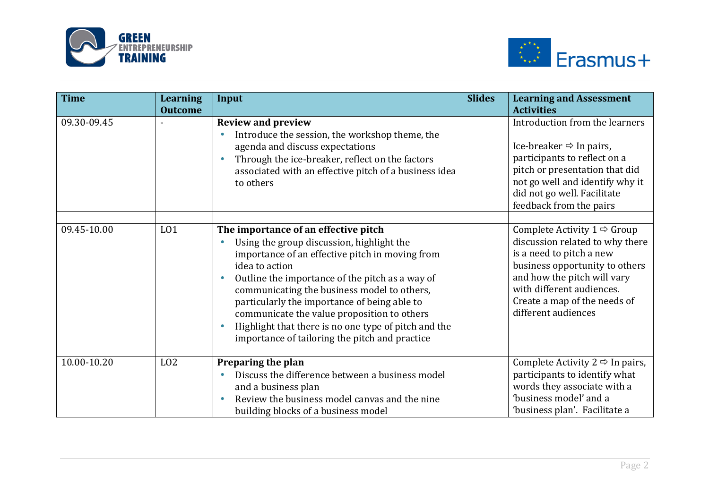



| <b>Time</b> | <b>Learning</b><br><b>Outcome</b> | Input                                                                                                                                                                                                                                                                                                                                                                                                                                                             | <b>Slides</b> | <b>Learning and Assessment</b><br><b>Activities</b>                                                                                                                                                                                                         |
|-------------|-----------------------------------|-------------------------------------------------------------------------------------------------------------------------------------------------------------------------------------------------------------------------------------------------------------------------------------------------------------------------------------------------------------------------------------------------------------------------------------------------------------------|---------------|-------------------------------------------------------------------------------------------------------------------------------------------------------------------------------------------------------------------------------------------------------------|
| 09.30-09.45 |                                   | <b>Review and preview</b><br>Introduce the session, the workshop theme, the<br>agenda and discuss expectations<br>Through the ice-breaker, reflect on the factors<br>associated with an effective pitch of a business idea<br>to others                                                                                                                                                                                                                           |               | Introduction from the learners<br>Ice-breaker $\Rightarrow$ In pairs,<br>participants to reflect on a<br>pitch or presentation that did<br>not go well and identify why it<br>did not go well. Facilitate<br>feedback from the pairs                        |
| 09.45-10.00 | L <sub>01</sub>                   | The importance of an effective pitch<br>Using the group discussion, highlight the<br>importance of an effective pitch in moving from<br>idea to action<br>Outline the importance of the pitch as a way of<br>communicating the business model to others,<br>particularly the importance of being able to<br>communicate the value proposition to others<br>Highlight that there is no one type of pitch and the<br>importance of tailoring the pitch and practice |               | Complete Activity $1 \Rightarrow$ Group<br>discussion related to why there<br>is a need to pitch a new<br>business opportunity to others<br>and how the pitch will vary<br>with different audiences.<br>Create a map of the needs of<br>different audiences |
| 10.00-10.20 | L <sub>02</sub>                   | Preparing the plan<br>Discuss the difference between a business model<br>and a business plan<br>Review the business model canvas and the nine<br>building blocks of a business model                                                                                                                                                                                                                                                                              |               | Complete Activity $2 \Leftrightarrow$ In pairs,<br>participants to identify what<br>words they associate with a<br>'business model' and a<br>'business plan'. Facilitate a                                                                                  |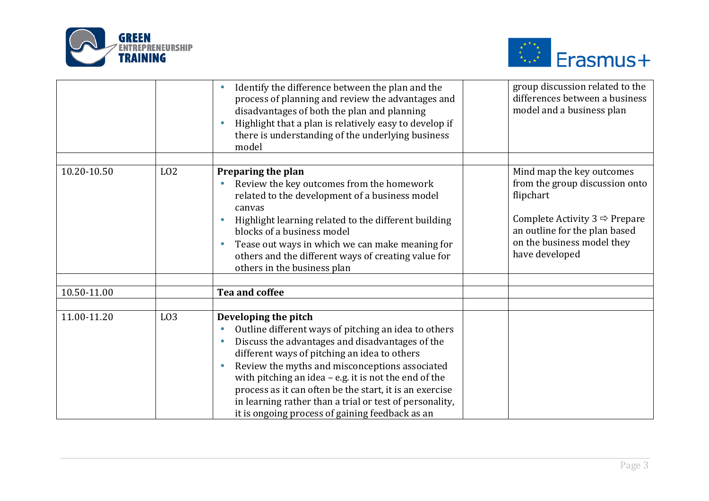



|             |                 | Identify the difference between the plan and the<br>process of planning and review the advantages and<br>disadvantages of both the plan and planning<br>Highlight that a plan is relatively easy to develop if<br>there is understanding of the underlying business<br>model                                                                                                                                                                                                       | group discussion related to the<br>differences between a business<br>model and a business plan                                                                                                             |
|-------------|-----------------|------------------------------------------------------------------------------------------------------------------------------------------------------------------------------------------------------------------------------------------------------------------------------------------------------------------------------------------------------------------------------------------------------------------------------------------------------------------------------------|------------------------------------------------------------------------------------------------------------------------------------------------------------------------------------------------------------|
|             |                 |                                                                                                                                                                                                                                                                                                                                                                                                                                                                                    |                                                                                                                                                                                                            |
| 10.20-10.50 | L <sub>02</sub> | Preparing the plan<br>Review the key outcomes from the homework<br>related to the development of a business model<br>canvas<br>Highlight learning related to the different building<br>blocks of a business model<br>Tease out ways in which we can make meaning for<br>others and the different ways of creating value for<br>others in the business plan                                                                                                                         | Mind map the key outcomes<br>from the group discussion onto<br>flipchart<br>Complete Activity $3 \Leftrightarrow$ Prepare<br>an outline for the plan based<br>on the business model they<br>have developed |
| 10.50-11.00 |                 | Tea and coffee                                                                                                                                                                                                                                                                                                                                                                                                                                                                     |                                                                                                                                                                                                            |
|             |                 |                                                                                                                                                                                                                                                                                                                                                                                                                                                                                    |                                                                                                                                                                                                            |
| 11.00-11.20 | L <sub>03</sub> | Developing the pitch<br>Outline different ways of pitching an idea to others<br>Discuss the advantages and disadvantages of the<br>$\bullet$<br>different ways of pitching an idea to others<br>Review the myths and misconceptions associated<br>with pitching an idea $-$ e.g. it is not the end of the<br>process as it can often be the start, it is an exercise<br>in learning rather than a trial or test of personality,<br>it is ongoing process of gaining feedback as an |                                                                                                                                                                                                            |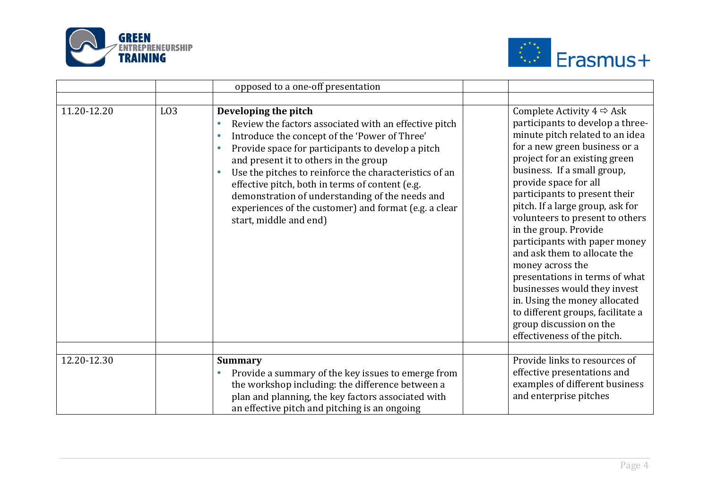



|             |                 | opposed to a one-off presentation                                                                                                                                                                                                                                                                                                                                                                                                                                                                                                   |                                                                                                                                                                                                                                                                                                                                                                                                                                                                                                                                                                                                                                                                    |
|-------------|-----------------|-------------------------------------------------------------------------------------------------------------------------------------------------------------------------------------------------------------------------------------------------------------------------------------------------------------------------------------------------------------------------------------------------------------------------------------------------------------------------------------------------------------------------------------|--------------------------------------------------------------------------------------------------------------------------------------------------------------------------------------------------------------------------------------------------------------------------------------------------------------------------------------------------------------------------------------------------------------------------------------------------------------------------------------------------------------------------------------------------------------------------------------------------------------------------------------------------------------------|
|             |                 |                                                                                                                                                                                                                                                                                                                                                                                                                                                                                                                                     |                                                                                                                                                                                                                                                                                                                                                                                                                                                                                                                                                                                                                                                                    |
| 11.20-12.20 | L <sub>03</sub> | Developing the pitch<br>Review the factors associated with an effective pitch<br>$\bullet$<br>Introduce the concept of the 'Power of Three'<br>$\bullet$<br>Provide space for participants to develop a pitch<br>$\bullet$<br>and present it to others in the group<br>Use the pitches to reinforce the characteristics of an<br>$\bullet$<br>effective pitch, both in terms of content (e.g.<br>demonstration of understanding of the needs and<br>experiences of the customer) and format (e.g. a clear<br>start, middle and end) | Complete Activity $4 \Leftrightarrow$ Ask<br>participants to develop a three-<br>minute pitch related to an idea<br>for a new green business or a<br>project for an existing green<br>business. If a small group,<br>provide space for all<br>participants to present their<br>pitch. If a large group, ask for<br>volunteers to present to others<br>in the group. Provide<br>participants with paper money<br>and ask them to allocate the<br>money across the<br>presentations in terms of what<br>businesses would they invest<br>in. Using the money allocated<br>to different groups, facilitate a<br>group discussion on the<br>effectiveness of the pitch. |
| 12.20-12.30 |                 | <b>Summary</b><br>Provide a summary of the key issues to emerge from<br>$\bullet$<br>the workshop including: the difference between a<br>plan and planning, the key factors associated with<br>an effective pitch and pitching is an ongoing                                                                                                                                                                                                                                                                                        | Provide links to resources of<br>effective presentations and<br>examples of different business<br>and enterprise pitches                                                                                                                                                                                                                                                                                                                                                                                                                                                                                                                                           |